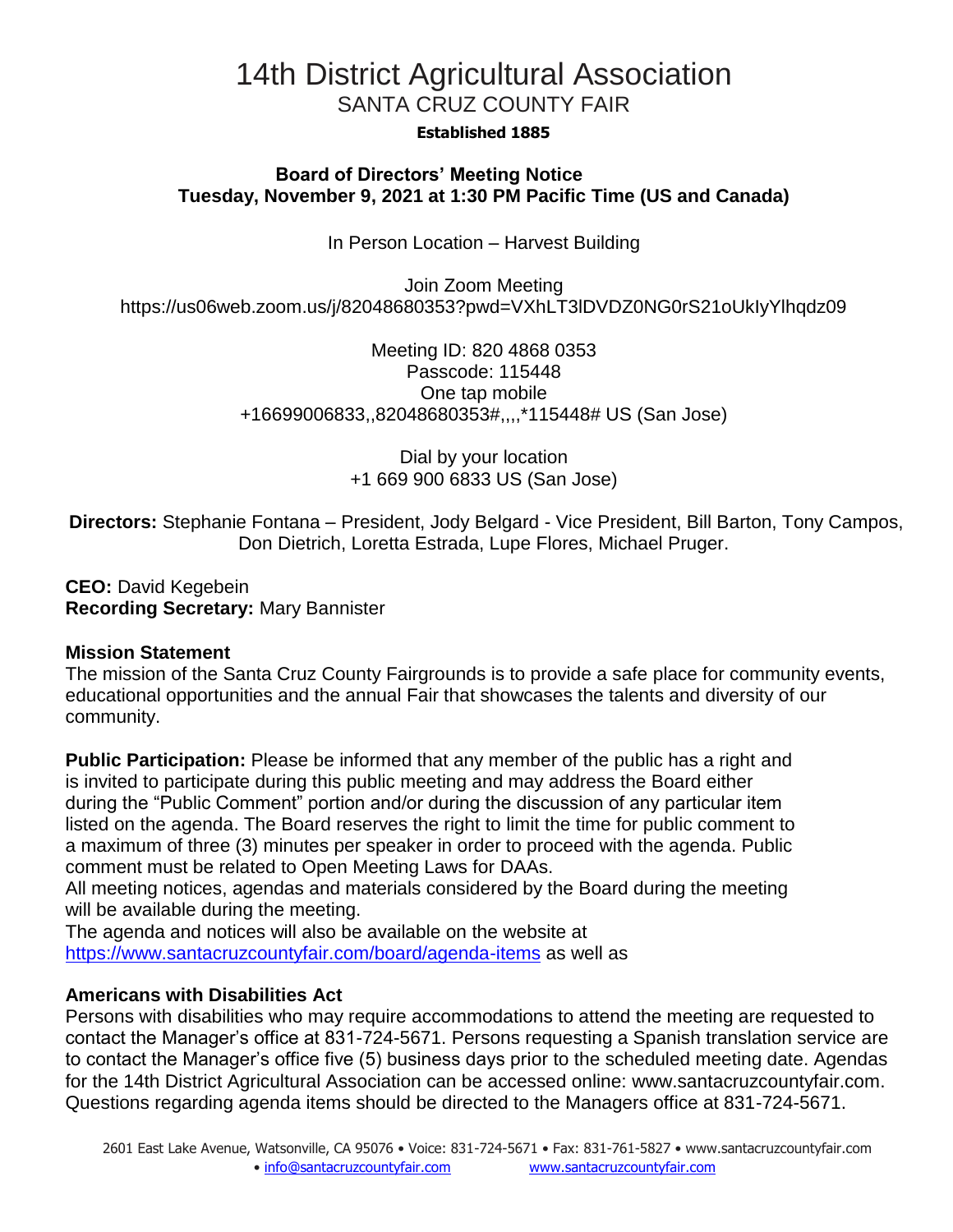# 14th District Agricultural Association SANTA CRUZ COUNTY FAIR

#### **Established 1885**

#### **Board of Directors' Meeting Notice Tuesday, November 9, 2021 at 1:30 PM Pacific Time (US and Canada)**

In Person Location – Harvest Building

Join Zoom Meeting https://us06web.zoom.us/j/82048680353?pwd=VXhLT3lDVDZ0NG0rS21oUkIyYlhqdz09

> Meeting ID: 820 4868 0353 Passcode: 115448 One tap mobile +16699006833,,82048680353#,,,,\*115448# US (San Jose)

> > Dial by your location +1 669 900 6833 US (San Jose)

**Directors:** Stephanie Fontana – President, Jody Belgard - Vice President, Bill Barton, Tony Campos, Don Dietrich, Loretta Estrada, Lupe Flores, Michael Pruger.

**CEO:** David Kegebein **Recording Secretary:** Mary Bannister

#### **Mission Statement**

The mission of the Santa Cruz County Fairgrounds is to provide a safe place for community events, educational opportunities and the annual Fair that showcases the talents and diversity of our community.

**Public Participation:** Please be informed that any member of the public has a right and is invited to participate during this public meeting and may address the Board either during the "Public Comment" portion and/or during the discussion of any particular item listed on the agenda. The Board reserves the right to limit the time for public comment to a maximum of three (3) minutes per speaker in order to proceed with the agenda. Public comment must be related to Open Meeting Laws for DAAs.

All meeting notices, agendas and materials considered by the Board during the meeting will be available during the meeting.

The agenda and notices will also be available on the website at <https://www.santacruzcountyfair.com/board/agenda-items> as well as

#### **Americans with Disabilities Act**

Persons with disabilities who may require accommodations to attend the meeting are requested to contact the Manager's office at 831-724-5671. Persons requesting a Spanish translation service are to contact the Manager's office five (5) business days prior to the scheduled meeting date. Agendas for the 14th District Agricultural Association can be accessed online: [www.santacruzcountyfair.com.](http://www.santacruzcountyfair.com/) Questions regarding agenda items should be directed to the Managers office at 831-724-5671.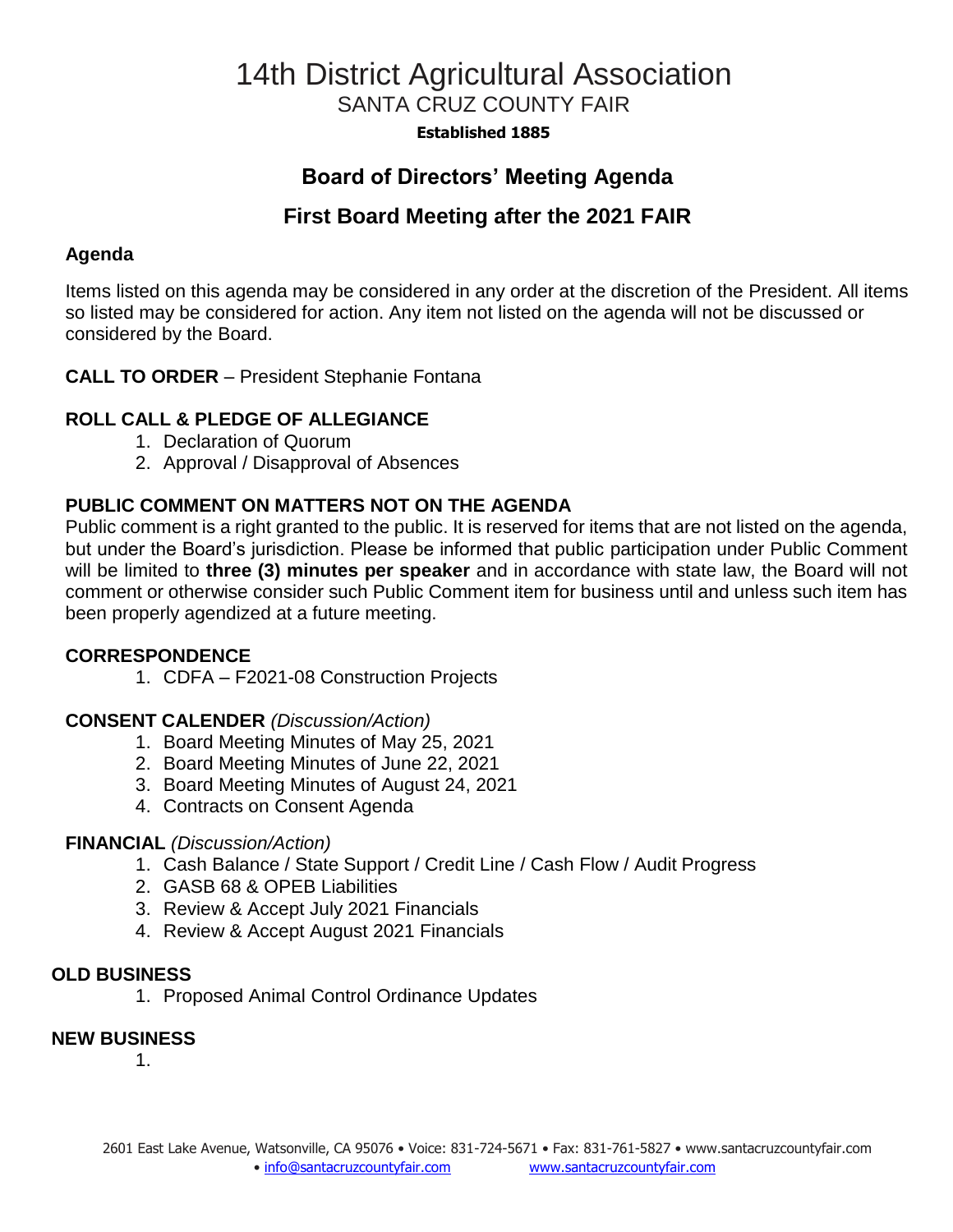# 14th District Agricultural Association SANTA CRUZ COUNTY FAIR

**Established 1885**

## **Board of Directors' Meeting Agenda**

## **First Board Meeting after the 2021 FAIR**

#### **Agenda**

Items listed on this agenda may be considered in any order at the discretion of the President. All items so listed may be considered for action. Any item not listed on the agenda will not be discussed or considered by the Board.

#### **CALL TO ORDER** – President Stephanie Fontana

### **ROLL CALL & PLEDGE OF ALLEGIANCE**

- 1. Declaration of Quorum
- 2. Approval / Disapproval of Absences

### **PUBLIC COMMENT ON MATTERS NOT ON THE AGENDA**

Public comment is a right granted to the public. It is reserved for items that are not listed on the agenda, but under the Board's jurisdiction. Please be informed that public participation under Public Comment will be limited to **three (3) minutes per speaker** and in accordance with state law, the Board will not comment or otherwise consider such Public Comment item for business until and unless such item has been properly agendized at a future meeting.

#### **CORRESPONDENCE**

1. CDFA – F2021-08 Construction Projects

#### **CONSENT CALENDER** *(Discussion/Action)*

- 1. Board Meeting Minutes of May 25, 2021
- 2. Board Meeting Minutes of June 22, 2021
- 3. Board Meeting Minutes of August 24, 2021
- 4. Contracts on Consent Agenda

#### **FINANCIAL** *(Discussion/Action)*

- 1. Cash Balance / State Support / Credit Line / Cash Flow / Audit Progress
- 2. GASB 68 & OPEB Liabilities
- 3. Review & Accept July 2021 Financials
- 4. Review & Accept August 2021 Financials

#### **OLD BUSINESS**

1. Proposed Animal Control Ordinance Updates

#### **NEW BUSINESS**

1.